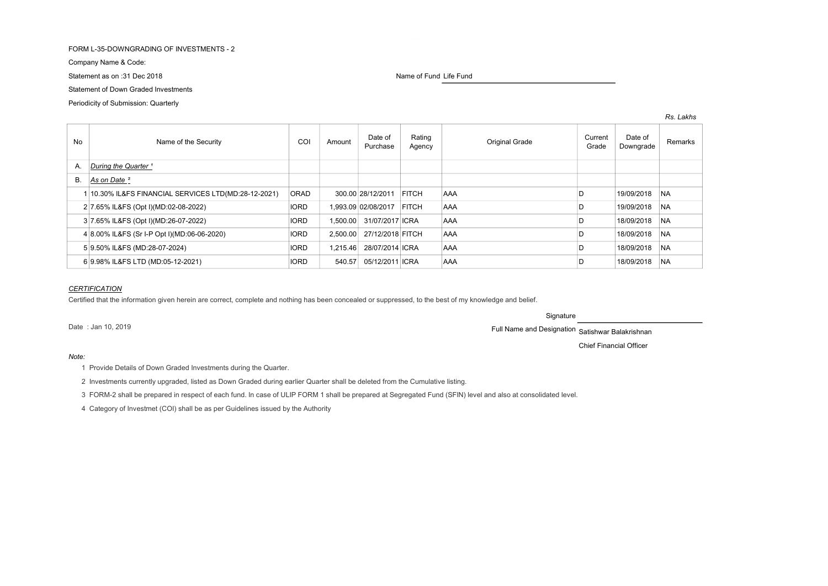# FORM L-35-DOWNGRADING OF INVESTMENTS - 2

Company Name & Code:

Statement as on :31 Dec 2018 Name of Fund Life Fund Life Fund Life Fund Life Fund

Statement of Down Graded Investments

Periodicity of Submission: Quarterly

| <b>No</b> | Name of the Security                                 | COI         | Amount   | Date of<br>Purchase | Rating<br>Agency | <b>Original Grade</b> | Current<br>Grade | Date of<br>Downgrade | Remarks   |
|-----------|------------------------------------------------------|-------------|----------|---------------------|------------------|-----------------------|------------------|----------------------|-----------|
| А.        | During the Quarter <sup>1</sup>                      |             |          |                     |                  |                       |                  |                      |           |
| <b>B.</b> | As on Date <sup>2</sup>                              |             |          |                     |                  |                       |                  |                      |           |
|           | 1 10.30% IL&FS FINANCIAL SERVICES LTD(MD:28-12-2021) | <b>ORAD</b> |          | 300.00 28/12/2011   | <b>FITCH</b>     | <b>AAA</b>            |                  | 19/09/2018           | <b>NA</b> |
|           | 2 7.65% IL&FS (Opt I)(MD:02-08-2022)                 | <b>IORD</b> |          | 1.993.09 02/08/2017 | <b>FITCH</b>     | AAA                   |                  | 19/09/2018           | <b>NA</b> |
|           | 3 7.65% IL&FS (Opt I)(MD:26-07-2022)                 | <b>IORD</b> | 1.500.00 | 31/07/2017 ICRA     |                  | AAA                   |                  | 18/09/2018           | <b>NA</b> |
|           | 4 8.00% IL&FS (Sr I-P Opt I)(MD:06-06-2020)          | <b>IORD</b> | 2.500.00 | 27/12/2018 FITCH    |                  | AAA                   | D                | 18/09/2018           | <b>NA</b> |
|           | 5 9.50% IL&FS (MD:28-07-2024)                        | <b>IORD</b> | 1.215.46 | 28/07/2014 ICRA     |                  | AAA                   | D                | 18/09/2018           | <b>NA</b> |
|           | 6 9.98% IL&FS LTD (MD:05-12-2021)                    | <b>IORD</b> | 540.57   | 05/12/2011 ICRA     |                  | AAA                   |                  | 18/09/2018           | <b>NA</b> |

# **CERTIFICATION**

Certified that the information given herein are correct, complete and nothing has been concealed or suppressed, to the best of my knowledge and belief.

Signature

Date : Jan 10, 2019 **Full Name and Designation** Satishwar Balakrishnan

Chief Financial Officer

Rs. Lakhs

## Note:

1 Provide Details of Down Graded Investments during the Quarter.

2 Investments currently upgraded, listed as Down Graded during earlier Quarter shall be deleted from the Cumulative listing.

3 FORM-2 shall be prepared in respect of each fund. In case of ULIP FORM 1 shall be prepared at Segregated Fund (SFIN) level and also at consolidated level.

4 Category of Investmet (COI) shall be as per Guidelines issued by the Authority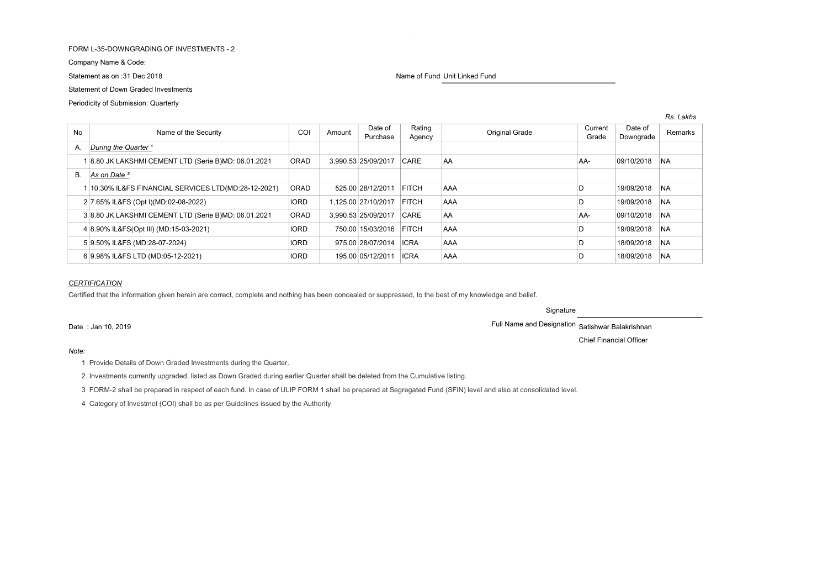# FORM L-35-DOWNGRADING OF INVESTMENTS - 2

Company Name & Code:

# Statement of Down Graded Investments

Periodicity of Submission: Quarterly

Statement as on :31 Dec 2018 Name of Fund Unit Linked Fund Unit Linked Fund Unit Linked Fund

| No | Name of the Security                                 | COI         | Amount              | Date of<br>Purchase | Rating<br>Agency |            | <b>Original Grade</b> | Current<br>Grade | Date of<br>Downgrade | Remarks   |
|----|------------------------------------------------------|-------------|---------------------|---------------------|------------------|------------|-----------------------|------------------|----------------------|-----------|
| А. | During the Quarter <sup>1</sup>                      |             |                     |                     |                  |            |                       |                  |                      |           |
|    | 8.80 JK LAKSHMI CEMENT LTD (Serie B)MD: 06.01.2021   | <b>ORAD</b> | 3.990.53 25/09/2017 |                     | CARE             | <b>AA</b>  |                       | AA-              | 09/10/2018           | <b>NA</b> |
|    | B. As on Date <sup>2</sup>                           |             |                     |                     |                  |            |                       |                  |                      |           |
|    | 10.30% IL&FS FINANCIAL SERVICES LTD(MD:28-12-2021)   | <b>ORAD</b> | 525.00 28/12/2011   |                     | <b>FITCH</b>     | <b>AAA</b> |                       |                  | 19/09/2018           | <b>NA</b> |
|    | 2 7.65% IL&FS (Opt I)(MD:02-08-2022)                 | <b>IORD</b> | 1.125.00 27/10/2017 |                     | <b>FITCH</b>     | AAA        |                       |                  | 19/09/2018           | <b>NA</b> |
|    | 3 8.80 JK LAKSHMI CEMENT LTD (Serie B)MD: 06.01.2021 | <b>ORAD</b> | 3.990.53 25/09/2017 |                     | CARE             | AA         |                       | AA-              | 09/10/2018           | <b>NA</b> |
|    | 4 8.90% IL&FS(Opt III) (MD:15-03-2021)               | <b>IORD</b> | 750.00 15/03/2016   |                     | <b>FITCH</b>     | <b>AAA</b> |                       |                  | 19/09/2018           | <b>NA</b> |
|    | 5 9.50% IL&FS (MD:28-07-2024)                        | <b>IORD</b> | 975.00 28/07/2014   |                     | <b>ICRA</b>      | AAA        |                       |                  | 18/09/2018           | <b>NA</b> |
|    | 6 9.98% IL&FS LTD (MD:05-12-2021)                    | <b>IORD</b> | 195.00 05/12/2011   |                     | <b>ICRA</b>      | AAA        |                       |                  | 18/09/2018           | <b>NA</b> |

## **CERTIFICATION**

Certified that the information given herein are correct, complete and nothing has been concealed or suppressed, to the best of my knowledge and belief.

Signature

Date : Jan 10, 2019 Full Name and Designation Satishwar Balakrishnan

Note:

1 Provide Details of Down Graded Investments during the Quarter.

2 Investments currently upgraded, listed as Down Graded during earlier Quarter shall be deleted from the Cumulative listing.

3 FORM-2 shall be prepared in respect of each fund. In case of ULIP FORM 1 shall be prepared at Segregated Fund (SFIN) level and also at consolidated level.

4 Category of Investmet (COI) shall be as per Guidelines issued by the Authority

Chief Financial Officer

Rs. Lakhs